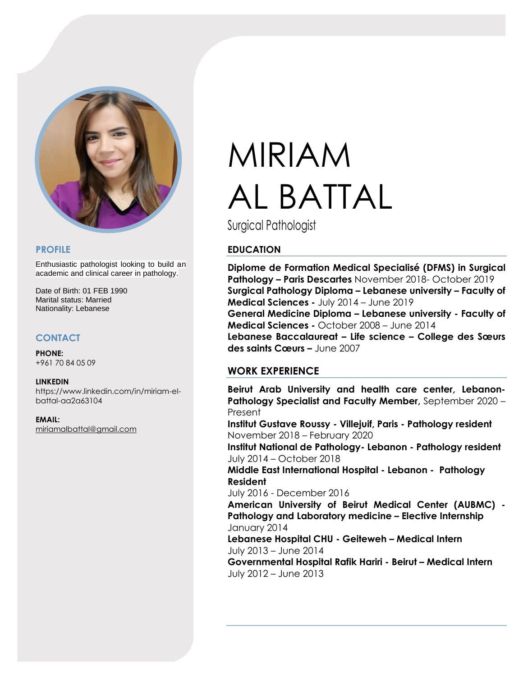

#### **PROFILE**

Enthusiastic pathologist looking to build an academic and clinical career in pathology.

Date of Birth: 01 FEB 1990 Marital status: Married Nationality: Lebanese

## **CONTACT**

**PHONE:** +961 70 84 05 09

#### **LINKEDIN**

https://www.linkedin.com/in/miriam-elbattal-aa2a63104

**EMAIL:** [miriamalbattal@gmail.com](mailto:miriamalbattal@gmail.com)

# MIRIAM AL BATTAL

Surgical Pathologist

## **EDUCATION**

**Diplome de Formation Medical Specialisé (DFMS) in Surgical Pathology – Paris Descartes** November 2018- October 2019 **Surgical Pathology Diploma – Lebanese university – Faculty of Medical Sciences -** July 2014 – June 2019 **General Medicine Diploma – Lebanese university - Faculty of Medical Sciences -** October 2008 – June 2014 **Lebanese Baccalaureat – Life science – College des Sœurs des saints Cœurs –** June 2007

## **WORK EXPERIENCE**

**Beirut Arab University and health care center, Lebanon-Pathology Specialist and Faculty Member,** September 2020 – Present

**Institut Gustave Roussy - Villejuif, Paris - Pathology resident** November 2018 – February 2020

**Institut National de Pathology- Lebanon - Pathology resident** July 2014 – October 2018

**Middle East International Hospital - Lebanon - Pathology Resident** 

July 2016 - December 2016

**American University of Beirut Medical Center (AUBMC) - Pathology and Laboratory medicine – Elective Internship** January 2014

**Lebanese Hospital CHU - Geiteweh – Medical Intern** July 2013 – June 2014

**Governmental Hospital Rafik Hariri - Beirut – Medical Intern** July 2012 – June 2013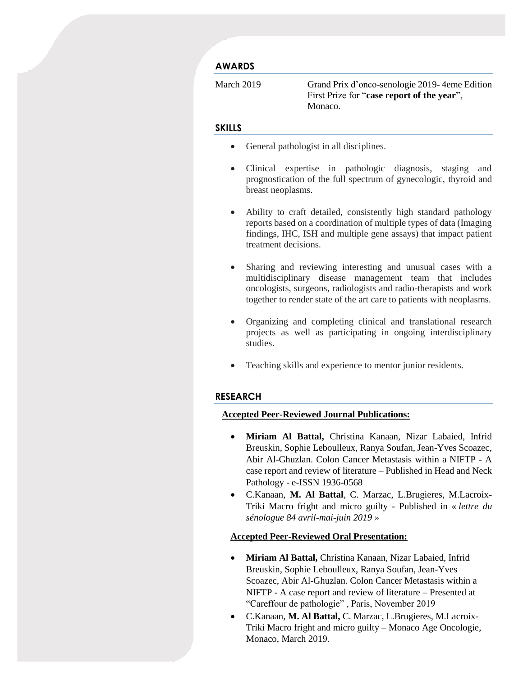## **AWARDS**

March 2019 Grand Prix d'onco-senologie 2019- 4eme Edition First Prize for "**case report of the year**", Monaco.

#### **SKILLS**

- General pathologist in all disciplines.
- Clinical expertise in pathologic diagnosis, staging and prognostication of the full spectrum of gynecologic, thyroid and breast neoplasms.
- Ability to craft detailed, consistently high standard pathology reports based on a coordination of multiple types of data (Imaging findings, IHC, ISH and multiple gene assays) that impact patient treatment decisions.
- Sharing and reviewing interesting and unusual cases with a multidisciplinary disease management team that includes oncologists, surgeons, radiologists and radio-therapists and work together to render state of the art care to patients with neoplasms.
- Organizing and completing clinical and translational research projects as well as participating in ongoing interdisciplinary studies.
- Teaching skills and experience to mentor junior residents.

#### **RESEARCH**

## **Accepted Peer-Reviewed Journal Publications:**

- **Miriam Al Battal,** Christina Kanaan, Nizar Labaied, Infrid Breuskin, Sophie Leboulleux, Ranya Soufan, Jean-Yves Scoazec, Abir Al-Ghuzlan. Colon Cancer Metastasis within a NIFTP - A case report and review of literature – Published in Head and Neck Pathology - e-ISSN 1936-0568
- C.Kanaan, **M. Al Battal**, C. Marzac, L.Brugieres, M.Lacroix-Triki Macro fright and micro guilty - Published in « *lettre du sénologue 84 avril-mai-juin 2019 »*

#### **Accepted Peer-Reviewed Oral Presentation:**

- **Miriam Al Battal,** Christina Kanaan, Nizar Labaied, Infrid Breuskin, Sophie Leboulleux, Ranya Soufan, Jean-Yves Scoazec, Abir Al-Ghuzlan. Colon Cancer Metastasis within a NIFTP - A case report and review of literature – Presented at "Careffour de pathologie" , Paris, November 2019
- C.Kanaan, **M. Al Battal,** C. Marzac, L.Brugieres, M.Lacroix-Triki Macro fright and micro guilty – Monaco Age Oncologie, Monaco, March 2019.